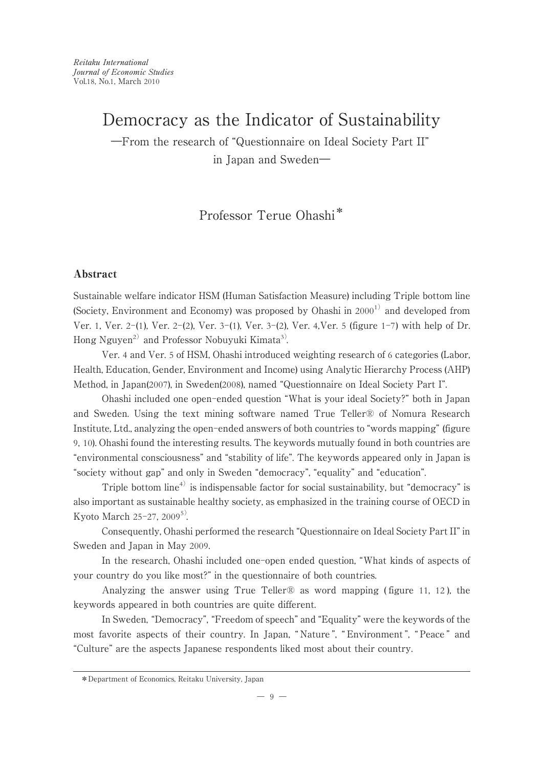―From the research of "Questionnaire on Ideal Society Part II" in Japan and Sweden―

Professor Terue Ohashi\*

## Abstract

Sustainable welfare indicator HSM (Human Satisfaction Measure) including Triple bottom line (Society, Environment and Economy) was proposed by Ohashi in  $2000^{1}$  and developed from Ver. 1, Ver. 2-(1), Ver. 2-(2), Ver. 3-(1), Ver. 3-(2), Ver. 4,Ver. 5 (figure 1-7) with help of Dr. Hong Nguyen<sup>2)</sup> and Professor Nobuyuki Kimata<sup>3)</sup>.

Ver. 4 and Ver. 5 of HSM, Ohashi introduced weighting research of 6 categories (Labor, Health, Education, Gender, Environment and Income) using Analytic Hierarchy Process (AHP) Method, in Japan(2007), in Sweden(2008), named "Questionnaire on Ideal Society Part I".

Ohashi included one open-ended question "What is your ideal Society?" both in Japan and Sweden. Using the text mining software named True Teller® of Nomura Research Institute, Ltd., analyzing the open-ended answers of both countries to "words mapping" (figure 9, 10). Ohashi found the interesting results. The keywords mutually found in both countries are "environmental consciousness" and "stability of life". The keywords appeared only in Japan is "society without gap" and only in Sweden "democracy", "equality" and "education".

Triple bottom line<sup>4)</sup> is indispensable factor for social sustainability, but "democracy" is also important as sustainable healthy society, as emphasized in the training course of OECD in Kyoto March 25-27, 2009<sup>5)</sup>.

Consequently, Ohashi performed the research "Questionnaire on Ideal Society Part II" in Sweden and Japan in May 2009.

In the research, Ohashi included one-open ended question, "What kinds of aspects of your country do you like most?" in the questionnaire of both countries.

Analyzing the answer using True Teller<sup>®</sup> as word mapping (figure 11, 12), the keywords appeared in both countries are quite different.

In Sweden, "Democracy", "Freedom of speech" and "Equality" were the keywords of the most favorite aspects of their country. In Japan, " Nature ", " Environment ", " Peace " and "Culture" are the aspects Japanese respondents liked most about their country.

<sup>\*</sup>Department of Economics, Reitaku University, Japan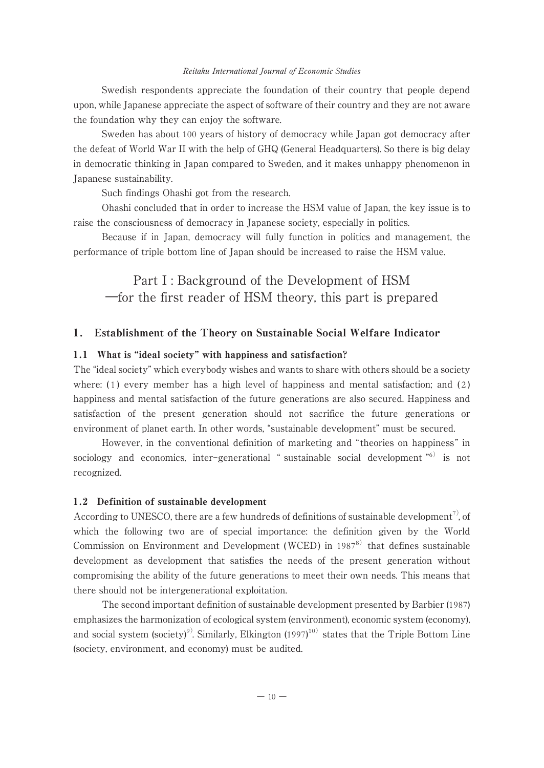Swedish respondents appreciate the foundation of their country that people depend upon, while Japanese appreciate the aspect of software of their country and they are not aware the foundation why they can enjoy the software.

Sweden has about 100 years of history of democracy while Japan got democracy after the defeat of World War II with the help of GHQ (General Headquarters). So there is big delay in democratic thinking in Japan compared to Sweden, and it makes unhappy phenomenon in Japanese sustainability.

Such findings Ohashi got from the research.

Ohashi concluded that in order to increase the HSM value of Japan, the key issue is to raise the consciousness of democracy in Japanese society, especially in politics.

Because if in Japan, democracy will fully function in politics and management, the performance of triple bottom line of Japan should be increased to raise the HSM value.

# Part I : Background of the Development of HSM ―for the first reader of HSM theory, this part is prepared

### 1. Establishment of the Theory on Sustainable Social Welfare Indicator

### 1.1 What is "ideal society" with happiness and satisfaction?

The "ideal society" which everybody wishes and wants to share with others should be a society where:  $(1)$  every member has a high level of happiness and mental satisfaction; and  $(2)$ happiness and mental satisfaction of the future generations are also secured. Happiness and satisfaction of the present generation should not sacrifice the future generations or environment of planet earth. In other words, "sustainable development" must be secured.

However, in the conventional definition of marketing and "theories on happiness" in sociology and economics, inter-generational "sustainable social development "<sup>6)</sup> is not recognized.

### 1.2 Definition of sustainable development

According to UNESCO, there are a few hundreds of definitions of sustainable development<sup>7)</sup>, of which the following two are of special importance: the definition given by the World Commission on Environment and Development (WCED) in  $1987^8$  that defines sustainable development as development that satisfies the needs of the present generation without compromising the ability of the future generations to meet their own needs. This means that there should not be intergenerational exploitation.

The second important definition of sustainable development presented by Barbier (1987) emphasizes the harmonization of ecological system (environment), economic system (economy), and social system (society)<sup>9)</sup>. Similarly, Elkington (1997)<sup>10)</sup> states that the Triple Bottom Line (society, environment, and economy) must be audited.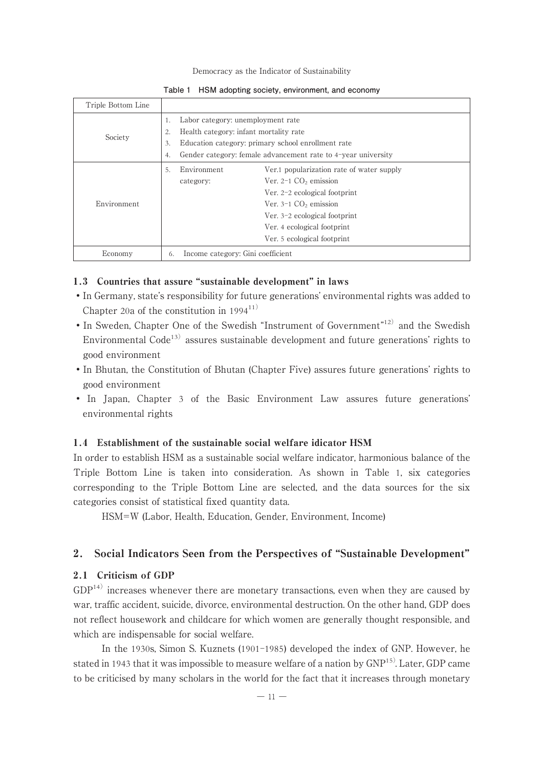| Triple Bottom Line |     |                                                               |                                           |  |  |  |
|--------------------|-----|---------------------------------------------------------------|-------------------------------------------|--|--|--|
| Society            | 1.  | Labor category: unemployment rate                             |                                           |  |  |  |
|                    | 2.  | Health category: infant mortality rate                        |                                           |  |  |  |
|                    | 3.  | Education category: primary school enrollment rate            |                                           |  |  |  |
|                    | 4.  | Gender category: female advancement rate to 4-year university |                                           |  |  |  |
|                    | .5. | Environment                                                   | Ver.1 popularization rate of water supply |  |  |  |
|                    |     | category:                                                     | Ver. $2-1$ CO <sub>2</sub> emission       |  |  |  |
| Environment        |     |                                                               | Ver. 2-2 ecological footprint             |  |  |  |
|                    |     |                                                               | Ver. $3-1$ CO <sub>2</sub> emission       |  |  |  |
|                    |     |                                                               | Ver. 3-2 ecological footprint             |  |  |  |
|                    |     |                                                               | Ver. 4 ecological footprint               |  |  |  |
|                    |     |                                                               | Ver. 5 ecological footprint               |  |  |  |
| Economy            |     | Income category: Gini coefficient<br>6.                       |                                           |  |  |  |

|  | Table 1 HSM adopting society, environment, and economy |  |  |  |  |
|--|--------------------------------------------------------|--|--|--|--|
|--|--------------------------------------------------------|--|--|--|--|

### 1.3 Countries that assure "sustainable development" in laws

- •In Germany, state's responsibility for future generations' environmental rights was added to Chapter 20a of the constitution in  $1994^{11}$
- In Sweden, Chapter One of the Swedish "Instrument of Government"<sup>12)</sup> and the Swedish Environmental Code<sup>13)</sup> assures sustainable development and future generations' rights to good environment
- •In Bhutan, the Constitution of Bhutan (Chapter Five) assures future generations' rights to good environment
- In Japan, Chapter 3 of the Basic Environment Law assures future generations' environmental rights

### 1.4 Establishment of the sustainable social welfare idicator HSM

In order to establish HSM as a sustainable social welfare indicator, harmonious balance of the Triple Bottom Line is taken into consideration. As shown in Table 1, six categories corresponding to the Triple Bottom Line are selected, and the data sources for the six categories consist of statistical fixed quantity data.

HSM=W (Labor, Health, Education, Gender, Environment, Income)

### 2. Social Indicators Seen from the Perspectives of "Sustainable Development"

# 2.1 Criticism of GDP

 $GDP<sup>14</sup>$  increases whenever there are monetary transactions, even when they are caused by war, traffic accident, suicide, divorce, environmental destruction. On the other hand, GDP does not reflect housework and childcare for which women are generally thought responsible, and which are indispensable for social welfare.

In the 1930s, Simon S. Kuznets (1901-1985) developed the index of GNP. However, he stated in 1943 that it was impossible to measure welfare of a nation by  $GNP<sup>15</sup>$ . Later, GDP came to be criticised by many scholars in the world for the fact that it increases through monetary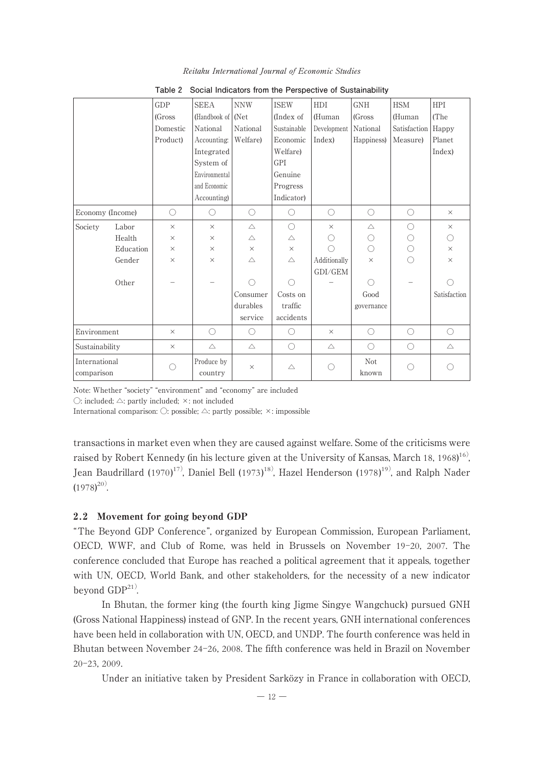|                             |           | GDP      | <b>SEEA</b>           | <b>NNW</b>  | <b>ISEW</b> | <b>HDI</b>   | <b>GNH</b>   | <b>HSM</b>          | <b>HPI</b>   |
|-----------------------------|-----------|----------|-----------------------|-------------|-------------|--------------|--------------|---------------------|--------------|
|                             |           | (Gross)  | (Handbook of Net      |             | (Index of   | (Human       | (Gross)      | (Human              | (The         |
|                             |           | Domestic | National              | National    | Sustainable | Development  | National     | Satisfaction        | Happy        |
|                             |           | Product) | Accounting:           | Welfare)    | Economic    | Index)       | Happiness)   | Measure)            | Planet       |
|                             |           |          | Integrated            |             | Welfare)    |              |              |                     | Index)       |
|                             |           |          | System of             |             | GPI         |              |              |                     |              |
|                             |           |          | Environmental         |             | Genuine     |              |              |                     |              |
|                             |           |          | and Economic          |             | Progress    |              |              |                     |              |
|                             |           |          | Accounting)           |             | Indicator)  |              |              |                     |              |
| Economy (Income)            |           | ◯        | 0                     | O           | $\bigcirc$  | $\bigcirc$   | $\bigcirc$   | 0                   | $\times$     |
| Society                     | Labor     | $\times$ | $\times$              | $\triangle$ | $\bigcirc$  | $\times$     | $\triangle$  | ∩                   | $\times$     |
|                             | Health    | $\times$ | $\times$              | $\triangle$ | Δ           | ( )          | O            | О                   | ∩            |
|                             | Education | $\times$ | $\times$              | $\times$    | $\times$    | ∩            | ∩            | $\circlearrowright$ | $\times$     |
|                             | Gender    | $\times$ | $\times$              | $\triangle$ | $\wedge$    | Additionally | $\times$     | ∩                   | $\times$     |
|                             |           |          |                       |             |             | GDI/GEM      |              |                     |              |
|                             | Other     |          |                       | ∩           | ∩           |              | ∩            |                     |              |
|                             |           |          |                       | Consumer    | Costs on    |              | Good         |                     | Satisfaction |
|                             |           |          |                       | durables    | traffic     |              | governance   |                     |              |
|                             |           |          |                       | service     | accidents   |              |              |                     |              |
| Environment                 |           | $\times$ | $\bigcirc$            | $\bigcirc$  | $\bigcirc$  | $\times$     | $\bigcirc$   | $\bigcirc$          | $\bigcirc$   |
| Sustainability              |           | $\times$ | $\triangle$           | $\triangle$ | $\bigcirc$  | $\triangle$  | $\bigcirc$   | 0                   | $\triangle$  |
| International<br>comparison |           | ∩        | Produce by<br>country | $\times$    | $\triangle$ | O            | Not<br>known | ∩                   |              |

Reitaku International Journal of Economic Studies

**Table 2 Social Indicators from the Perspective of Sustainability**

Note: Whether "society" "environment" and "economy" are included

 $\bigcirc$ : included;  $\triangle$ : partly included;  $\times$ : not included

International comparison:  $\bigcirc$ : possible;  $\triangle$ : partly possible;  $\times$ : impossible

transactions in market even when they are caused against welfare. Some of the criticisms were raised by Robert Kennedy (in his lecture given at the University of Kansas, March 18, 1968) <sup>16</sup>), Jean Baudrillard (1970)<sup>17)</sup>, Daniel Bell (1973)<sup>18)</sup>, Hazel Henderson (1978)<sup>19)</sup>, and Ralph Nader  $(1978)^{20}$ .

### 2.2 Movement for going beyond GDP

"The Beyond GDP Conference", organized by European Commission, European Parliament, OECD, WWF, and Club of Rome, was held in Brussels on November 19-20, 2007. The conference concluded that Europe has reached a political agreement that it appeals, together with UN, OECD, World Bank, and other stakeholders, for the necessity of a new indicator beyond  $GDP<sup>21</sup>$ .

In Bhutan, the former king (the fourth king Jigme Singye Wangchuck) pursued GNH (Gross National Happiness) instead of GNP. In the recent years, GNH international conferences have been held in collaboration with UN, OECD, and UNDP. The fourth conference was held in Bhutan between November 24-26, 2008. The fifth conference was held in Brazil on November 20-23, 2009.

Under an initiative taken by President Sarközy in France in collaboration with OECD,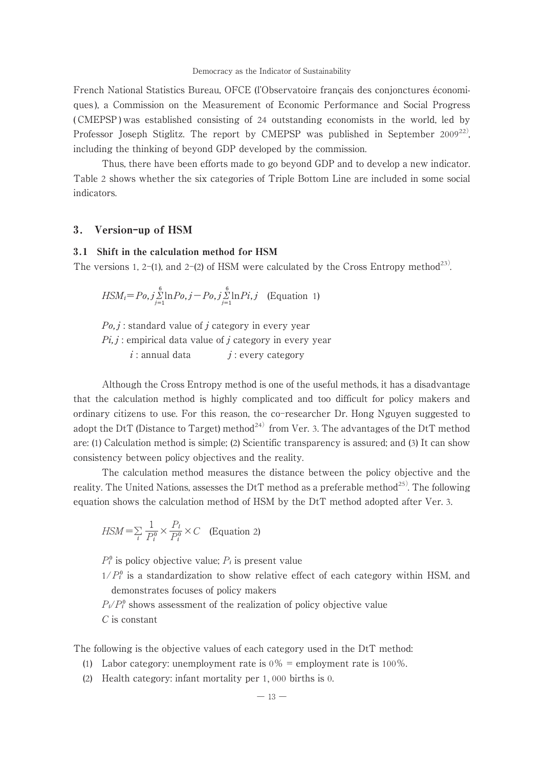French National Statistics Bureau, OFCE (l'Observatoire français des conjonctures économiques ), a Commission on the Measurement of Economic Performance and Social Progress ( CMEPSP ) was established consisting of 24 outstanding economists in the world, led by Professor Joseph Stiglitz. The report by CMEPSP was published in September 2009<sup>22)</sup>. including the thinking of beyond GDP developed by the commission.

Thus, there have been efforts made to go beyond GDP and to develop a new indicator. Table 2 shows whether the six categories of Triple Bottom Line are included in some social indicators.

### 3. Version-up of HSM

### 3.1 Shift in the calculation method for HSM

The versions 1, 2-(1), and 2-(2) of HSM were calculated by the Cross Entropy method<sup>23)</sup>.

$$
HSM_i = Po, j \sum_{j=1}^{6} \ln Po, j - Po, j \sum_{j=1}^{6} \ln Pi, j \quad \text{(Equation 1)}
$$

 $Po, j$ : standard value of j category in every year  $Pi, j$ : empirical data value of j category in every year  $i:$  annual data  $j:$  every category

Although the Cross Entropy method is one of the useful methods, it has a disadvantage that the calculation method is highly complicated and too difficult for policy makers and ordinary citizens to use. For this reason, the co-researcher Dr. Hong Nguyen suggested to adopt the DtT (Distance to Target) method<sup>24)</sup> from Ver. 3. The advantages of the DtT method are: (1) Calculation method is simple; (2) Scientific transparency is assured; and (3) It can show consistency between policy objectives and the reality.

The calculation method measures the distance between the policy objective and the reality. The United Nations, assesses the DtT method as a preferable method<sup>25)</sup>. The following equation shows the calculation method of HSM by the DtT method adopted after Ver. 3.

$$
HSM = \sum_{i} \frac{1}{P_i^0} \times \frac{P_i}{P_i^0} \times C \quad \text{(Equation 2)}
$$

 $P_i^0$  is policy objective value;  $P_i$  is present value

 $1/P_i^0$  is a standardization to show relative effect of each category within HSM, and demonstrates focuses of policy makers

 $P_i/P_i^0$  shows assessment of the realization of policy objective value C is constant

The following is the objective values of each category used in the DtT method:

- (1) Labor category: unemployment rate is  $0\%$  = employment rate is  $100\%$ .
- (2) Health category: infant mortality per 1, 000 births is 0.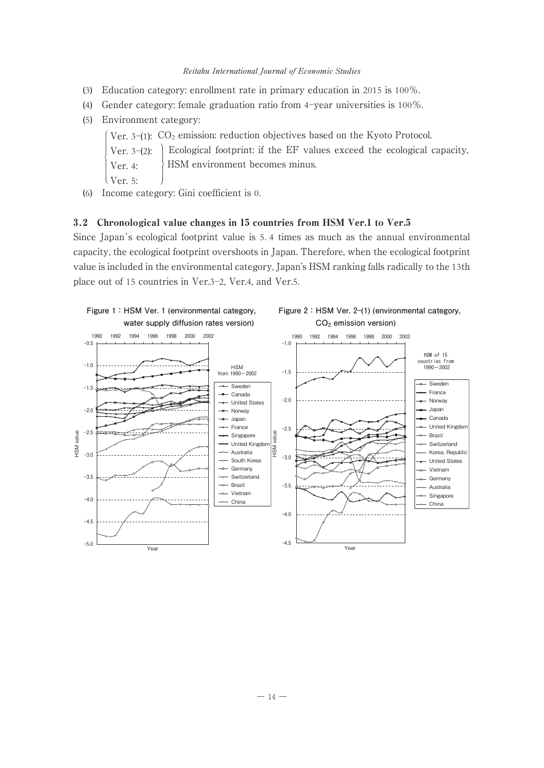- (3) Education category: enrollment rate in primary education in 2015 is 100%.
- (4) Gender category: female graduation ratio from 4-year universities is 100%.
- (5) Environment category:
	- Ver. 3-(1): ⎧ CO2 emission: reduction objectives based on the Kyoto Protocol. ―
	- | Ver. 3–(2): Ver. 4: ―  $\left\{ \right.$ Ecological footprint: if the EF values exceed the ecological capacity, ⎬ HSM environment becomes minus.―
	- $\vert$  Ver. 5:
- (6) Income category: Gini coefficient is 0.

### 3.2 Chronological value changes in 15 countries from HSM Ver.1 to Ver.5

Since Japan 's ecological footprint value is 5. 4 times as much as the annual environmental capacity, the ecological footprint overshoots in Japan. Therefore, when the ecological footprint value is included in the environmental category, Japan's HSM ranking falls radically to the 13th place out of 15 countries in Ver.3-2, Ver.4, and Ver.5.

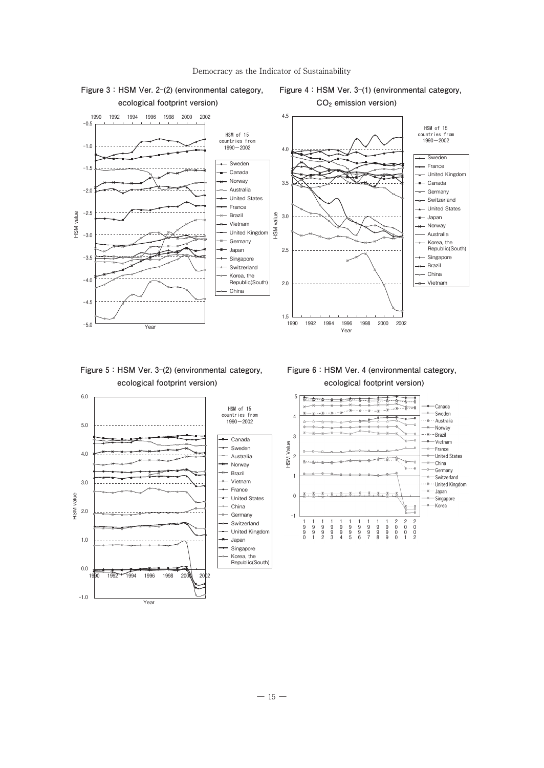



**Figure 5:HSM Ver. 3-(2) (environmental category, ecological footprint version)**



**Figure 6:HSM Ver. 4 (environmental category, ecological footprint version)**



**Figure 3:HSM Ver. 2-(2) (environmental category,**

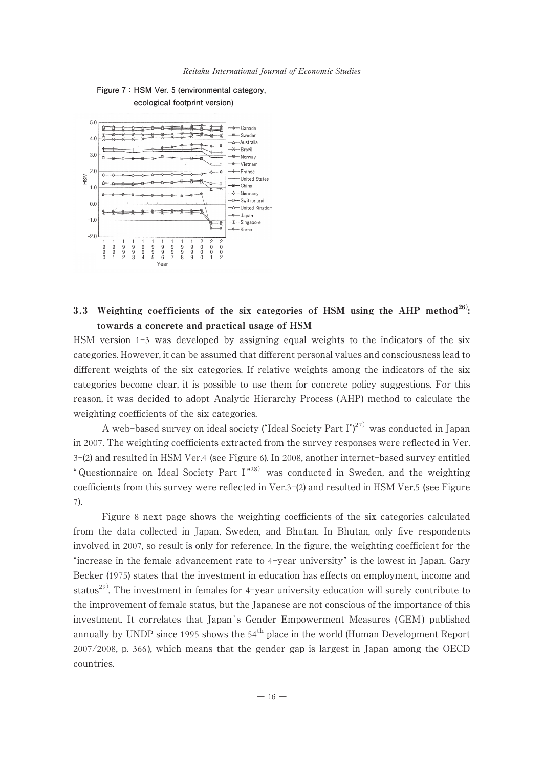

**Figure 7:HSM Ver. 5 (environmental category, ecological footprint version)**

# 3.3 Weighting coefficients of the six categories of HSM using the AHP method<sup>26</sup>: towards a concrete and practical usage of HSM

HSM version 1-3 was developed by assigning equal weights to the indicators of the six categories. However, it can be assumed that different personal values and consciousness lead to different weights of the six categories. If relative weights among the indicators of the six categories become clear, it is possible to use them for concrete policy suggestions. For this reason, it was decided to adopt Analytic Hierarchy Process (AHP) method to calculate the weighting coefficients of the six categories.

A web-based survey on ideal society ("Ideal Society Part I")<sup>27)</sup> was conducted in Iapan in 2007. The weighting coefficients extracted from the survey responses were reflected in Ver. 3-(2) and resulted in HSM Ver.4 (see Figure 6). In 2008, another internet-based survey entitled " Questionnaire on Ideal Society Part I<sup>"28)</sup> was conducted in Sweden, and the weighting coefficients from this survey were reflected in Ver.3-(2) and resulted in HSM Ver.5 (see Figure 7).

Figure 8 next page shows the weighting coefficients of the six categories calculated from the data collected in Japan, Sweden, and Bhutan. In Bhutan, only five respondents involved in 2007, so result is only for reference. In the figure, the weighting coefficient for the "increase in the female advancement rate to 4-year university" is the lowest in Japan. Gary Becker (1975) states that the investment in education has effects on employment, income and status<sup>29)</sup>. The investment in females for 4-year university education will surely contribute to the improvement of female status, but the Japanese are not conscious of the importance of this investment. It correlates that Japan's Gender Empowerment Measures (GEM) published annually by UNDP since 1995 shows the 54<sup>th</sup> place in the world (Human Development Report 2007/2008, p. 366 ), which means that the gender gap is largest in Japan among the OECD countries.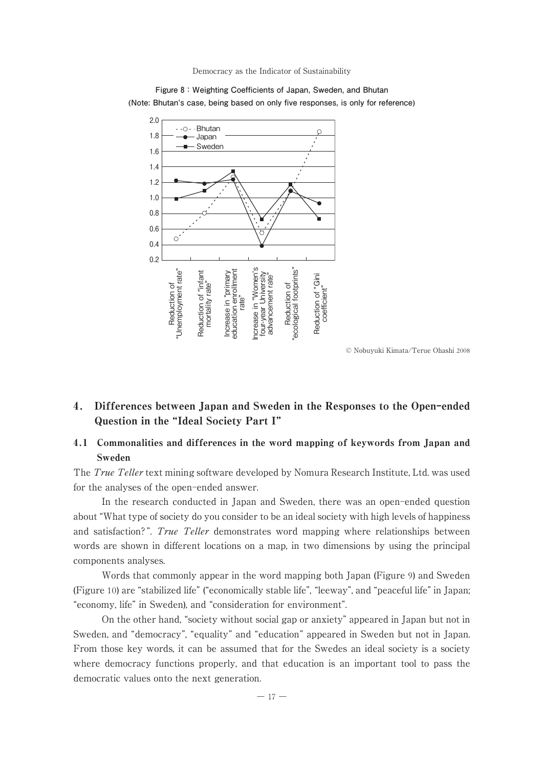

**Figure 8:Weighting Coefficients of Japan, Sweden, and Bhutan (Note: Bhutan's case, being based on only five responses, is only for reference)**

© Nobuyuki Kimata/Terue Ohashi 2008

# 4. Differences between Japan and Sweden in the Responses to the Open-ended Question in the "Ideal Society Part I"

# 4.1 Commonalities and differences in the word mapping of keywords from Japan and Sweden

The True Teller text mining software developed by Nomura Research Institute, Ltd. was used for the analyses of the open-ended answer.

In the research conducted in Japan and Sweden, there was an open-ended question about "What type of society do you consider to be an ideal society with high levels of happiness and satisfaction?". True Teller demonstrates word mapping where relationships between words are shown in different locations on a map, in two dimensions by using the principal components analyses.

Words that commonly appear in the word mapping both Japan (Figure 9) and Sweden (Figure 10) are "stabilized life" ("economically stable life", "leeway", and "peaceful life" in Japan; "economy, life" in Sweden), and "consideration for environment".

On the other hand, "society without social gap or anxiety" appeared in Japan but not in Sweden, and "democracy", "equality" and "education" appeared in Sweden but not in Japan. From those key words, it can be assumed that for the Swedes an ideal society is a society where democracy functions properly, and that education is an important tool to pass the democratic values onto the next generation.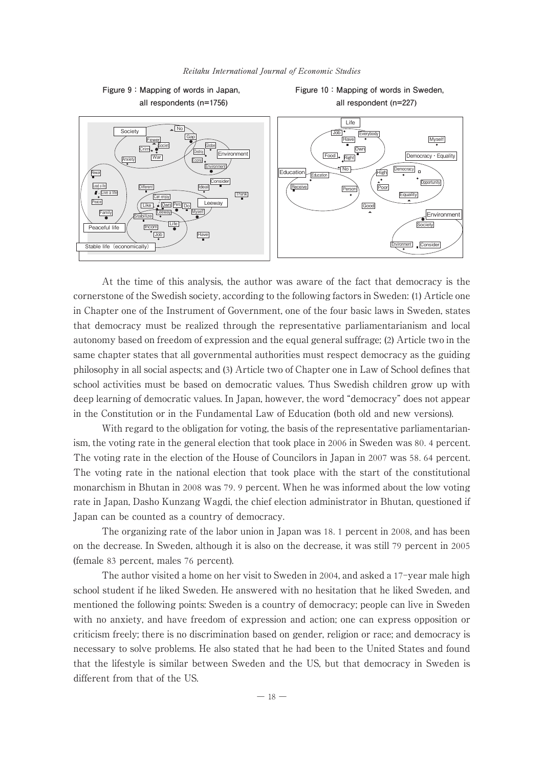

At the time of this analysis, the author was aware of the fact that democracy is the cornerstone of the Swedish society, according to the following factors in Sweden: (1) Article one in Chapter one of the Instrument of Government, one of the four basic laws in Sweden, states that democracy must be realized through the representative parliamentarianism and local autonomy based on freedom of expression and the equal general suffrage; (2) Article two in the same chapter states that all governmental authorities must respect democracy as the guiding philosophy in all social aspects; and (3) Article two of Chapter one in Law of School defines that school activities must be based on democratic values. Thus Swedish children grow up with deep learning of democratic values. In Japan, however, the word "democracy" does not appear in the Constitution or in the Fundamental Law of Education (both old and new versions).

With regard to the obligation for voting, the basis of the representative parliamentarianism, the voting rate in the general election that took place in 2006 in Sweden was 80. 4 percent. The voting rate in the election of the House of Councilors in Japan in 2007 was 58. 64 percent. The voting rate in the national election that took place with the start of the constitutional monarchism in Bhutan in 2008 was 79. 9 percent. When he was informed about the low voting rate in Japan, Dasho Kunzang Wagdi, the chief election administrator in Bhutan, questioned if Japan can be counted as a country of democracy.

The organizing rate of the labor union in Japan was 18. 1 percent in 2008, and has been on the decrease. In Sweden, although it is also on the decrease, it was still 79 percent in 2005 (female 83 percent, males 76 percent).

The author visited a home on her visit to Sweden in 2004, and asked a 17-year male high school student if he liked Sweden. He answered with no hesitation that he liked Sweden, and mentioned the following points: Sweden is a country of democracy; people can live in Sweden with no anxiety, and have freedom of expression and action; one can express opposition or criticism freely; there is no discrimination based on gender, religion or race; and democracy is necessary to solve problems. He also stated that he had been to the United States and found that the lifestyle is similar between Sweden and the US, but that democracy in Sweden is different from that of the US.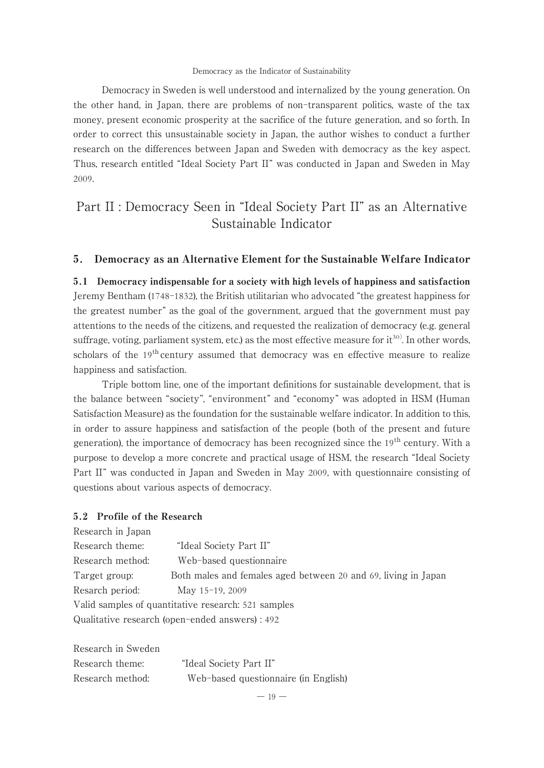Democracy in Sweden is well understood and internalized by the young generation. On the other hand, in Japan, there are problems of non-transparent politics, waste of the tax money, present economic prosperity at the sacrifice of the future generation, and so forth. In order to correct this unsustainable society in Japan, the author wishes to conduct a further research on the differences between Japan and Sweden with democracy as the key aspect. Thus, research entitled "Ideal Society Part II" was conducted in Japan and Sweden in May 2009.

# Part II : Democracy Seen in "Ideal Society Part II" as an Alternative Sustainable Indicator

### 5. Democracy as an Alternative Element for the Sustainable Welfare Indicator

5.1 Democracy indispensable for a society with high levels of happiness and satisfaction Jeremy Bentham (1748-1832), the British utilitarian who advocated "the greatest happiness for the greatest number" as the goal of the government, argued that the government must pay attentions to the needs of the citizens, and requested the realization of democracy (e.g. general suffrage, voting, parliament system, etc.) as the most effective measure for  $it^{30}$ . In other words, scholars of the 19<sup>th</sup> century assumed that democracy was en effective measure to realize happiness and satisfaction.

Triple bottom line, one of the important definitions for sustainable development, that is the balance between "society", "environment" and "economy" was adopted in HSM (Human Satisfaction Measure) as the foundation for the sustainable welfare indicator. In addition to this, in order to assure happiness and satisfaction of the people (both of the present and future generation), the importance of democracy has been recognized since the 19<sup>th</sup> century. With a purpose to develop a more concrete and practical usage of HSM, the research "Ideal Society Part II" was conducted in Japan and Sweden in May 2009, with questionnaire consisting of questions about various aspects of democracy.

### 5.2 Profile of the Research

| Both males and females aged between 20 and 69, living in Japan |  |  |  |  |
|----------------------------------------------------------------|--|--|--|--|
|                                                                |  |  |  |  |
| Valid samples of quantitative research: 521 samples            |  |  |  |  |
| Qualitative research (open-ended answers) : 492                |  |  |  |  |
|                                                                |  |  |  |  |

| Research in Sweden |                                      |
|--------------------|--------------------------------------|
| Research theme:    | "Ideal Society Part II"              |
| Research method:   | Web-based questionnaire (in English) |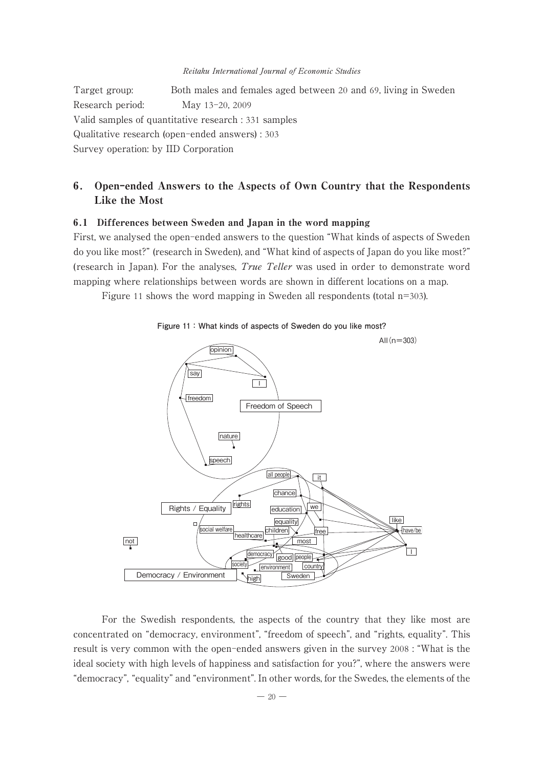Target group: Both males and females aged between 20 and 69, living in Sweden Research period: May 13-20, 2009 Valid samples of quantitative research : 331 samples Qualitative research (open-ended answers) : 303 Survey operation: by IID Corporation

# 6. Open-ended Answers to the Aspects of Own Country that the Respondents Like the Most

### 6.1 Differences between Sweden and Japan in the word mapping

First, we analysed the open-ended answers to the question "What kinds of aspects of Sweden do you like most?" (research in Sweden), and "What kind of aspects of Japan do you like most?" (research in Japan). For the analyses, True Teller was used in order to demonstrate word mapping where relationships between words are shown in different locations on a map.

Figure 11 shows the word mapping in Sweden all respondents (total n=303).





For the Swedish respondents, the aspects of the country that they like most are concentrated on "democracy, environment", "freedom of speech", and "rights, equality". This result is very common with the open-ended answers given in the survey 2008 : "What is the ideal society with high levels of happiness and satisfaction for you?", where the answers were "democracy", "equality" and "environment". In other words, for the Swedes, the elements of the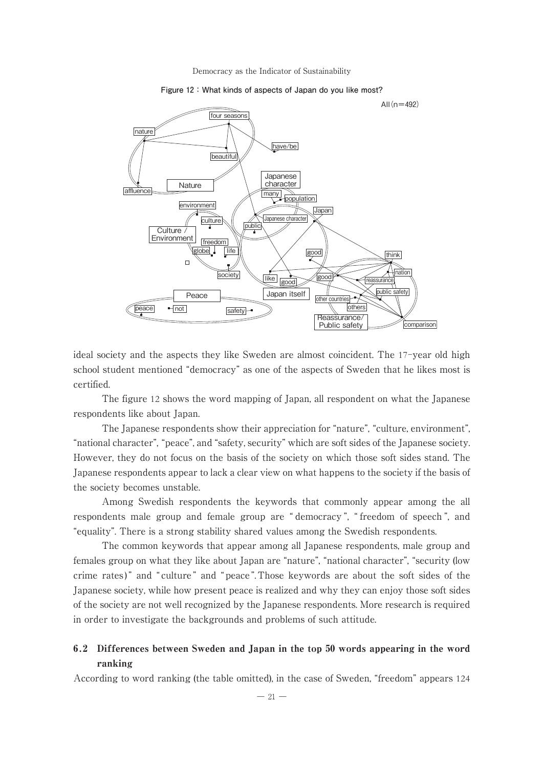

#### **Figure 12:What kinds of aspects of Japan do you like most?**

ideal society and the aspects they like Sweden are almost coincident. The 17-year old high school student mentioned "democracy" as one of the aspects of Sweden that he likes most is certified.

The figure 12 shows the word mapping of Japan, all respondent on what the Japanese respondents like about Japan.

The Japanese respondents show their appreciation for "nature", "culture, environment", "national character", "peace", and "safety, security" which are soft sides of the Japanese society. However, they do not focus on the basis of the society on which those soft sides stand. The Japanese respondents appear to lack a clear view on what happens to the society if the basis of the society becomes unstable.

Among Swedish respondents the keywords that commonly appear among the all respondents male group and female group are " democracy ", " freedom of speech ", and "equality". There is a strong stability shared values among the Swedish respondents.

The common keywords that appear among all Japanese respondents, male group and females group on what they like about Japan are "nature", "national character", "security (low crime rates)" and "culture" and "peace". Those keywords are about the soft sides of the Japanese society, while how present peace is realized and why they can enjoy those soft sides of the society are not well recognized by the Japanese respondents. More research is required in order to investigate the backgrounds and problems of such attitude.

# 6.2 Differences between Sweden and Japan in the top 50 words appearing in the word ranking

According to word ranking (the table omitted), in the case of Sweden, "freedom" appears 124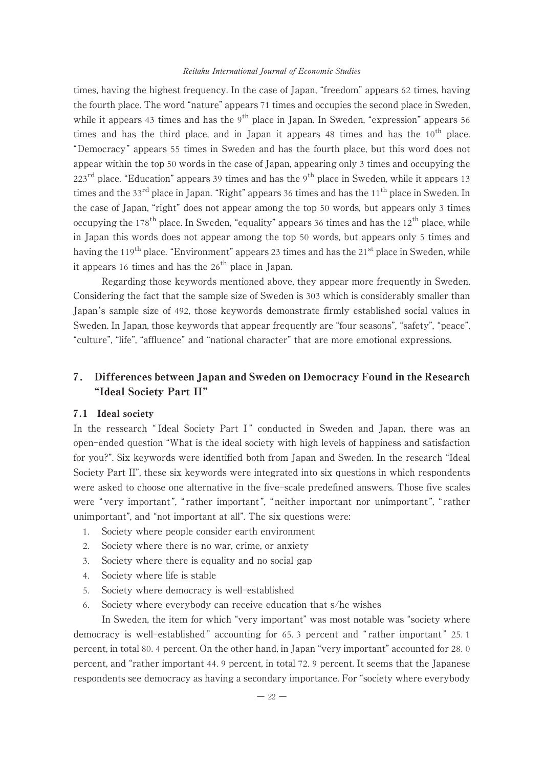times, having the highest frequency. In the case of Japan, "freedom" appears 62 times, having the fourth place. The word "nature" appears 71 times and occupies the second place in Sweden, while it appears 43 times and has the  $9<sup>th</sup>$  place in Japan. In Sweden, "expression" appears 56 times and has the third place, and in Japan it appears 48 times and has the  $10^{th}$  place. "Democracy" appears 55 times in Sweden and has the fourth place, but this word does not appear within the top 50 words in the case of Japan, appearing only 3 times and occupying the  $223<sup>rd</sup>$  place. "Education" appears 39 times and has the 9<sup>th</sup> place in Sweden, while it appears 13 times and the  $33<sup>rd</sup>$  place in Japan. "Right" appears 36 times and has the  $11<sup>th</sup>$  place in Sweden. In the case of Japan, "right" does not appear among the top 50 words, but appears only 3 times occupying the 178<sup>th</sup> place. In Sweden, "equality" appears 36 times and has the 12<sup>th</sup> place, while in Japan this words does not appear among the top 50 words, but appears only 5 times and having the 119<sup>th</sup> place. "Environment" appears 23 times and has the 21<sup>st</sup> place in Sweden, while it appears 16 times and has the  $26<sup>th</sup>$  place in Japan.

Regarding those keywords mentioned above, they appear more frequently in Sweden. Considering the fact that the sample size of Sweden is 303 which is considerably smaller than Japan's sample size of 492, those keywords demonstrate firmly established social values in Sweden. In Japan, those keywords that appear frequently are "four seasons", "safety", "peace", "culture", "life", "affluence" and "national character" that are more emotional expressions.

# 7. Differences between Japan and Sweden on Democracy Found in the Research "Ideal Society Part II"

#### 7.1 Ideal society

In the ressearch "Ideal Society Part I" conducted in Sweden and Japan, there was an open-ended question "What is the ideal society with high levels of happiness and satisfaction for you?". Six keywords were identified both from Japan and Sweden. In the research "Ideal Society Part II", these six keywords were integrated into six questions in which respondents were asked to choose one alternative in the five-scale predefined answers. Those five scales were " very important ", " rather important ", " neither important nor unimportant ", " rather unimportant", and "not important at all". The six questions were:

- 1. Society where people consider earth environment
- 2. Society where there is no war, crime, or anxiety
- 3. Society where there is equality and no social gap
- 4. Society where life is stable
- 5. Society where democracy is well-established
- 6. Society where everybody can receive education that s/he wishes

In Sweden, the item for which "very important" was most notable was "society where democracy is well-established " accounting for 65. 3 percent and " rather important " 25. 1 percent, in total 80. 4 percent. On the other hand, in Japan "very important" accounted for 28. 0 percent, and "rather important 44. 9 percent, in total 72. 9 percent. It seems that the Japanese respondents see democracy as having a secondary importance. For "society where everybody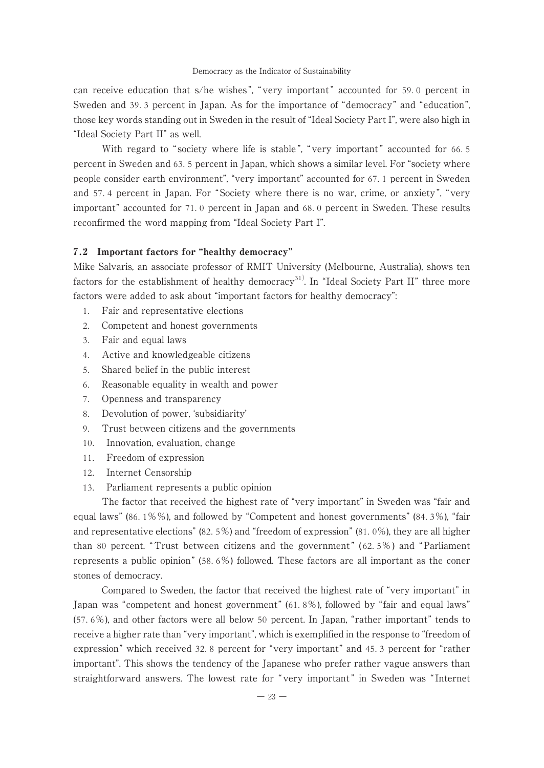can receive education that s/he wishes ", " very important " accounted for 59. 0 percent in Sweden and 39. 3 percent in Japan. As for the importance of "democracy" and "education", those key words standing out in Sweden in the result of "Ideal Society Part I", were also high in "Ideal Society Part II" as well.

With regard to "society where life is stable", "very important" accounted for 66.5 percent in Sweden and 63. 5 percent in Japan, which shows a similar level. For "society where people consider earth environment", "very important" accounted for 67. 1 percent in Sweden and 57. 4 percent in Japan. For "Society where there is no war, crime, or anxiety ", "very important" accounted for 71. 0 percent in Japan and 68. 0 percent in Sweden. These results reconfirmed the word mapping from "Ideal Society Part I".

### 7.2 Important factors for "healthy democracy"

Mike Salvaris, an associate professor of RMIT University (Melbourne, Australia), shows ten factors for the establishment of healthy democracy<sup>31</sup>. In "Ideal Society Part II" three more factors were added to ask about "important factors for healthy democracy":

- 1. Fair and representative elections
- 2. Competent and honest governments
- 3. Fair and equal laws
- 4. Active and knowledgeable citizens
- 5. Shared belief in the public interest
- 6. Reasonable equality in wealth and power
- 7. Openness and transparency
- 8. Devolution of power, ʻsubsidiarity'
- 9. Trust between citizens and the governments
- 10. Innovation, evaluation, change
- 11. Freedom of expression
- 12. Internet Censorship
- 13. Parliament represents a public opinion

The factor that received the highest rate of "very important" in Sweden was "fair and equal laws" (86. 1%%), and followed by "Competent and honest governments" (84. 3%), "fair and representative elections" (82. 5%) and "freedom of expression" (81. 0%), they are all higher than 80 percent. " Trust between citizens and the government " ( 62. 5%) and " Parliament represents a public opinion" (58. 6%) followed. These factors are all important as the coner stones of democracy.

Compared to Sweden, the factor that received the highest rate of "very important" in Japan was "competent and honest government" (61. 8%), followed by "fair and equal laws" (57. 6%), and other factors were all below 50 percent. In Japan, "rather important" tends to receive a higher rate than "very important", which is exemplified in the response to "freedom of expression" which received 32. 8 percent for "very important" and 45. 3 percent for "rather important". This shows the tendency of the Japanese who prefer rather vague answers than straightforward answers. The lowest rate for " very important " in Sweden was " Internet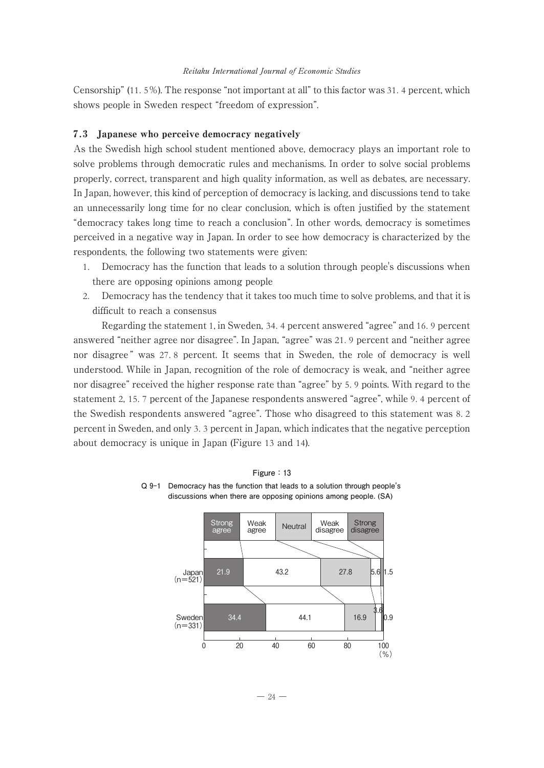Censorship" (11. 5%). The response "not important at all" to this factor was 31. 4 percent, which shows people in Sweden respect "freedom of expression".

### 7.3 Japanese who perceive democracy negatively

As the Swedish high school student mentioned above, democracy plays an important role to solve problems through democratic rules and mechanisms. In order to solve social problems properly, correct, transparent and high quality information, as well as debates, are necessary. In Japan, however, this kind of perception of democracy is lacking, and discussions tend to take an unnecessarily long time for no clear conclusion, which is often justified by the statement "democracy takes long time to reach a conclusion". In other words, democracy is sometimes perceived in a negative way in Japan. In order to see how democracy is characterized by the respondents, the following two statements were given:

- 1. Democracy has the function that leads to a solution through people's discussions when there are opposing opinions among people
- 2. Democracy has the tendency that it takes too much time to solve problems, and that it is difficult to reach a consensus

Regarding the statement 1, in Sweden, 34. 4 percent answered "agree" and 16. 9 percent answered "neither agree nor disagree". In Japan, "agree" was 21. 9 percent and "neither agree nor disagree " was 27. 8 percent. It seems that in Sweden, the role of democracy is well understood. While in Japan, recognition of the role of democracy is weak, and "neither agree nor disagree" received the higher response rate than "agree" by 5. 9 points. With regard to the statement 2, 15. 7 percent of the Japanese respondents answered "agree", while 9. 4 percent of the Swedish respondents answered "agree". Those who disagreed to this statement was 8. 2 percent in Sweden, and only 3. 3 percent in Japan, which indicates that the negative perception about democracy is unique in Japan (Figure 13 and 14).



**Figure:13 Q 9-1 Democracy has the function that leads to a solution through people's discussions when there are opposing opinions among people. (SA)**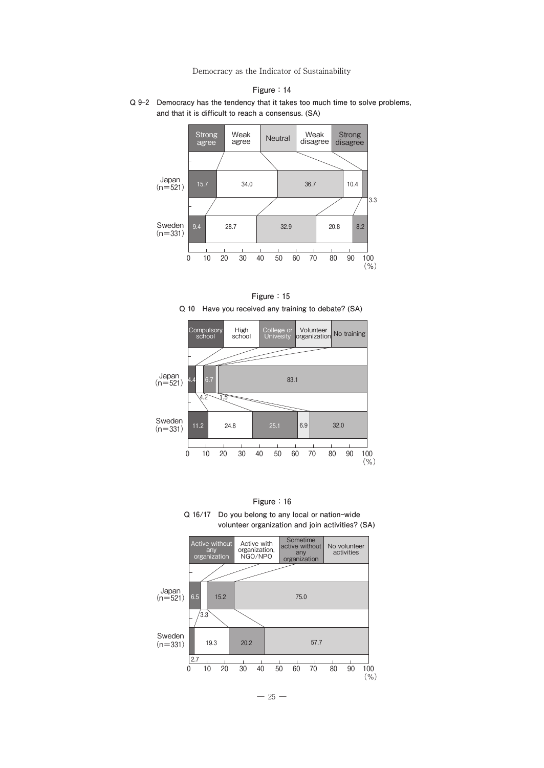



**Figure:15 Q 10 Have you received any training to debate? (SA)**



**Figure:16 Q 16/17 Do you belong to any local or nation-wide**

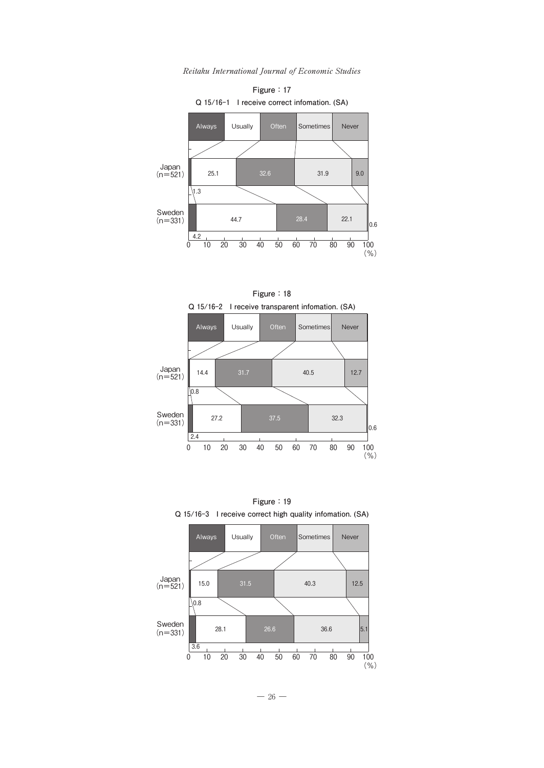

Reitaku International Journal of Economic Studies





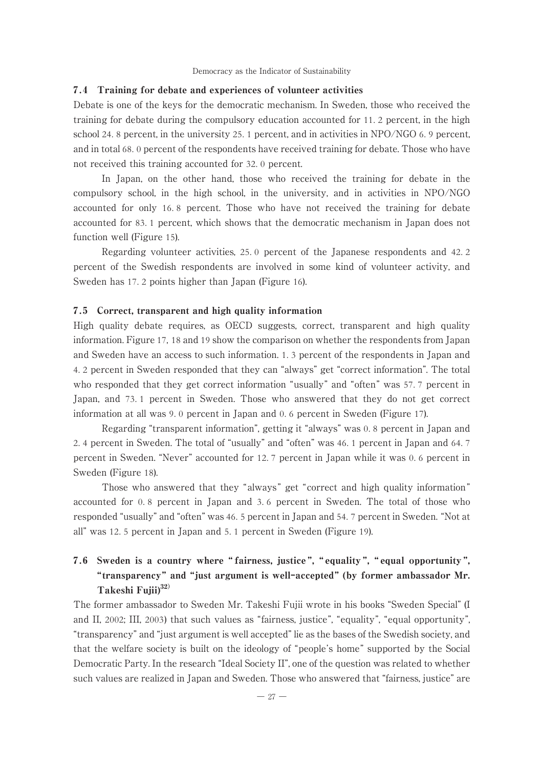#### 7.4 Training for debate and experiences of volunteer activities

Debate is one of the keys for the democratic mechanism. In Sweden, those who received the training for debate during the compulsory education accounted for 11. 2 percent, in the high school 24. 8 percent, in the university 25. 1 percent, and in activities in NPO/NGO 6. 9 percent, and in total 68. 0 percent of the respondents have received training for debate. Those who have not received this training accounted for 32. 0 percent.

In Japan, on the other hand, those who received the training for debate in the compulsory school, in the high school, in the university, and in activities in NPO/NGO accounted for only 16. 8 percent. Those who have not received the training for debate accounted for 83. 1 percent, which shows that the democratic mechanism in Japan does not function well (Figure 15).

Regarding volunteer activities, 25. 0 percent of the Japanese respondents and 42. 2 percent of the Swedish respondents are involved in some kind of volunteer activity, and Sweden has 17. 2 points higher than Japan (Figure 16).

#### 7.5 Correct, transparent and high quality information

High quality debate requires, as OECD suggests, correct, transparent and high quality information. Figure 17, 18 and 19 show the comparison on whether the respondents from Japan and Sweden have an access to such information. 1. 3 percent of the respondents in Japan and 4. 2 percent in Sweden responded that they can "always" get "correct information". The total who responded that they get correct information "usually" and "often" was 57. 7 percent in Japan, and 73. 1 percent in Sweden. Those who answered that they do not get correct information at all was 9. 0 percent in Japan and 0. 6 percent in Sweden (Figure 17).

Regarding "transparent information", getting it "always" was 0. 8 percent in Japan and 2. 4 percent in Sweden. The total of "usually" and "often" was 46. 1 percent in Japan and 64. 7 percent in Sweden. "Never" accounted for 12. 7 percent in Japan while it was 0. 6 percent in Sweden (Figure 18).

Those who answered that they "always" get "correct and high quality information" accounted for 0. 8 percent in Japan and 3. 6 percent in Sweden. The total of those who responded "usually" and "often" was 46. 5 percent in Japan and 54. 7 percent in Sweden. "Not at all" was 12. 5 percent in Japan and 5. 1 percent in Sweden (Figure 19).

# 7.6 Sweden is a country where " fairness, justice ", " equality ", " equal opportunity ", "transparency" and "just argument is well-accepted" (by former ambassador Mr. Takeshi Fujii $3^{32}$

The former ambassador to Sweden Mr. Takeshi Fujii wrote in his books "Sweden Special" (I and II, 2002; III, 2003) that such values as "fairness, justice", "equality", "equal opportunity", "transparency" and "just argument is well accepted" lie as the bases of the Swedish society, and that the welfare society is built on the ideology of "people's home" supported by the Social Democratic Party. In the research "Ideal Society II", one of the question was related to whether such values are realized in Japan and Sweden. Those who answered that "fairness, justice" are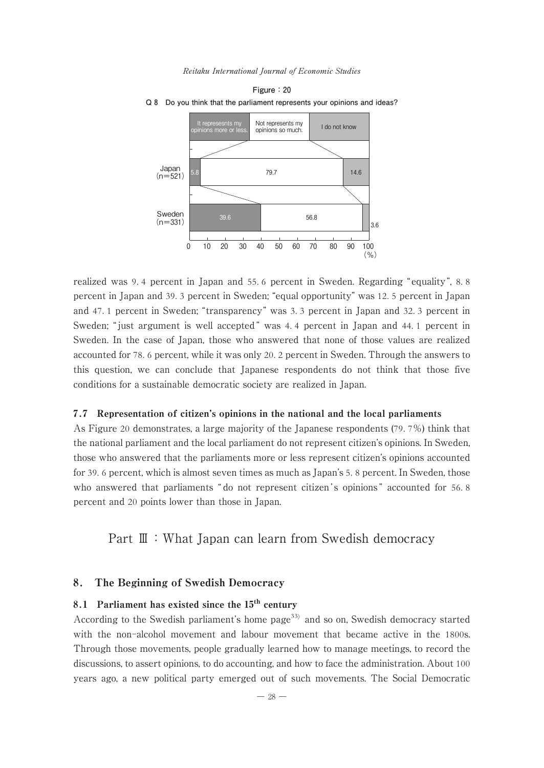





realized was 9.4 percent in Japan and 55.6 percent in Sweden. Regarding "equality", 8.8 percent in Japan and 39. 3 percent in Sweden; "equal opportunity" was 12. 5 percent in Japan and 47. 1 percent in Sweden; "transparency" was 3. 3 percent in Japan and 32. 3 percent in Sweden; " just argument is well accepted " was 4. 4 percent in Japan and 44. 1 percent in Sweden. In the case of Japan, those who answered that none of those values are realized accounted for 78. 6 percent, while it was only 20. 2 percent in Sweden. Through the answers to this question, we can conclude that Japanese respondents do not think that those five conditions for a sustainable democratic society are realized in Japan.

#### 7.7 Representation of citizen's opinions in the national and the local parliaments

As Figure 20 demonstrates, a large majority of the Japanese respondents (79. 7%) think that the national parliament and the local parliament do not represent citizen's opinions. In Sweden, those who answered that the parliaments more or less represent citizen's opinions accounted for 39. 6 percent, which is almost seven times as much as Japan's 5. 8 percent. In Sweden, those who answered that parliaments " do not represent citizen's opinions" accounted for 56.8 percent and 20 points lower than those in Japan.

# Part Ⅲ: What Japan can learn from Swedish democracy

### 8. The Beginning of Swedish Democracy

# 8.1 Parliament has existed since the  $15<sup>th</sup>$  century

According to the Swedish parliament's home page<sup>33)</sup> and so on, Swedish democracy started with the non-alcohol movement and labour movement that became active in the 1800s. Through those movements, people gradually learned how to manage meetings, to record the discussions, to assert opinions, to do accounting, and how to face the administration. About 100 years ago, a new political party emerged out of such movements. The Social Democratic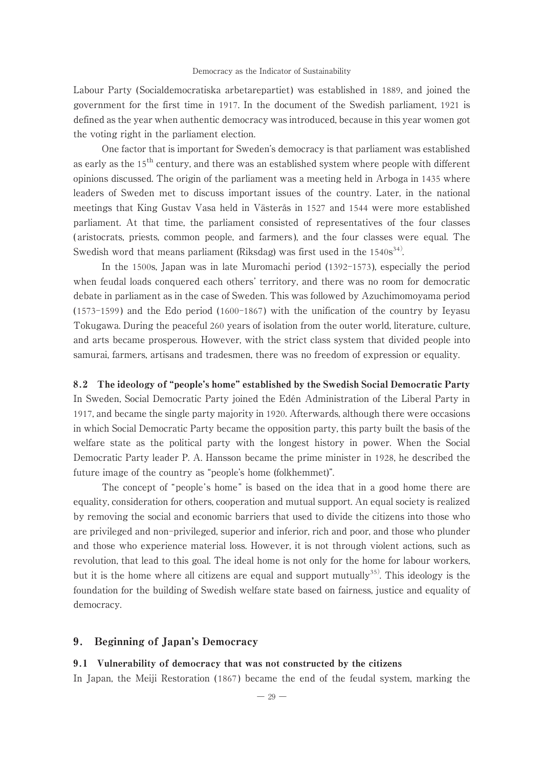Labour Party ( Socialdemocratiska arbetarepartiet) was established in 1889, and joined the government for the first time in 1917. In the document of the Swedish parliament, 1921 is defined as the year when authentic democracy was introduced, because in this year women got the voting right in the parliament election.

One factor that is important for Sweden's democracy is that parliament was established as early as the 15<sup>th</sup> century, and there was an established system where people with different opinions discussed. The origin of the parliament was a meeting held in Arboga in 1435 where leaders of Sweden met to discuss important issues of the country. Later, in the national meetings that King Gustav Vasa held in Västerås in 1527 and 1544 were more established parliament. At that time, the parliament consisted of representatives of the four classes ( aristocrats, priests, common people, and farmers ), and the four classes were equal. The Swedish word that means parliament (Riksdag) was first used in the 1540s<sup>34)</sup>.

In the 1500s, Japan was in late Muromachi period (1392-1573 ), especially the period when feudal loads conquered each others' territory, and there was no room for democratic debate in parliament as in the case of Sweden. This was followed by Azuchimomoyama period (1573-1599 ) and the Edo period (1600-1867 ) with the unification of the country by Ieyasu Tokugawa. During the peaceful 260 years of isolation from the outer world, literature, culture, and arts became prosperous. However, with the strict class system that divided people into samurai, farmers, artisans and tradesmen, there was no freedom of expression or equality.

8.2 The ideology of "people's home" established by the Swedish Social Democratic Party In Sweden, Social Democratic Party joined the Edén Administration of the Liberal Party in 1917, and became the single party majority in 1920. Afterwards, although there were occasions in which Social Democratic Party became the opposition party, this party built the basis of the welfare state as the political party with the longest history in power. When the Social Democratic Party leader P. A. Hansson became the prime minister in 1928, he described the future image of the country as "people's home (folkhemmet)".

The concept of "people's home" is based on the idea that in a good home there are equality, consideration for others, cooperation and mutual support. An equal society is realized by removing the social and economic barriers that used to divide the citizens into those who are privileged and non-privileged, superior and inferior, rich and poor, and those who plunder and those who experience material loss. However, it is not through violent actions, such as revolution, that lead to this goal. The ideal home is not only for the home for labour workers, but it is the home where all citizens are equal and support mutually<sup>35)</sup>. This ideology is the foundation for the building of Swedish welfare state based on fairness, justice and equality of democracy.

### 9. Beginning of Japan's Democracy

### 9.1 Vulnerability of democracy that was not constructed by the citizens

In Japan, the Meiji Restoration ( 1867 ) became the end of the feudal system, marking the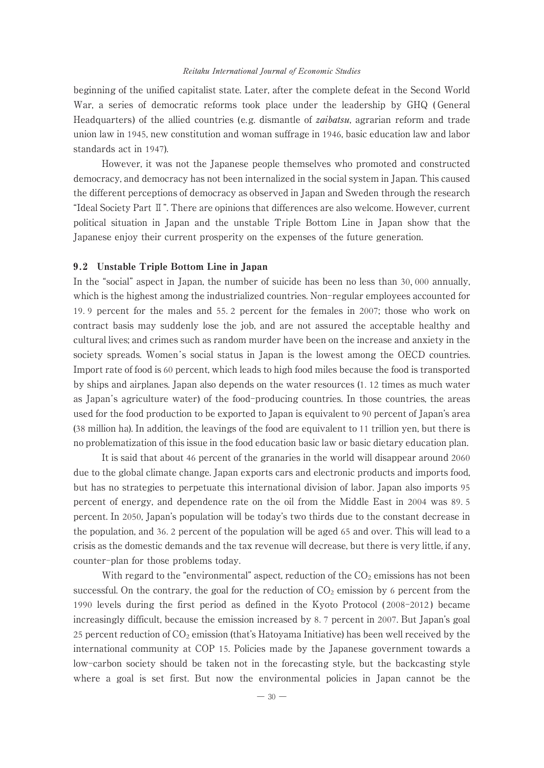beginning of the unified capitalist state. Later, after the complete defeat in the Second World War, a series of democratic reforms took place under the leadership by GHQ ( General Headquarters) of the allied countries (e.g. dismantle of *zaibatsu*, agrarian reform and trade union law in 1945, new constitution and woman suffrage in 1946, basic education law and labor standards act in 1947).

However, it was not the Japanese people themselves who promoted and constructed democracy, and democracy has not been internalized in the social system in Japan. This caused the different perceptions of democracy as observed in Japan and Sweden through the research "Ideal Society Part Ⅱ". There are opinions that differences are also welcome. However, current political situation in Japan and the unstable Triple Bottom Line in Japan show that the Japanese enjoy their current prosperity on the expenses of the future generation.

### 9.2 Unstable Triple Bottom Line in Japan

In the "social" aspect in Japan, the number of suicide has been no less than 30, 000 annually, which is the highest among the industrialized countries. Non-regular employees accounted for 19. 9 percent for the males and 55. 2 percent for the females in 2007; those who work on contract basis may suddenly lose the job, and are not assured the acceptable healthy and cultural lives; and crimes such as random murder have been on the increase and anxiety in the society spreads. Women 's social status in Japan is the lowest among the OECD countries. Import rate of food is 60 percent, which leads to high food miles because the food is transported by ships and airplanes. Japan also depends on the water resources (1. 12 times as much water as Japan's agriculture water) of the food-producing countries. In those countries, the areas used for the food production to be exported to Japan is equivalent to 90 percent of Japan's area (38 million ha). In addition, the leavings of the food are equivalent to 11 trillion yen, but there is no problematization of this issue in the food education basic law or basic dietary education plan.

It is said that about 46 percent of the granaries in the world will disappear around 2060 due to the global climate change. Japan exports cars and electronic products and imports food, but has no strategies to perpetuate this international division of labor. Japan also imports 95 percent of energy, and dependence rate on the oil from the Middle East in 2004 was 89. 5 percent. In 2050, Japan's population will be today's two thirds due to the constant decrease in the population, and 36. 2 percent of the population will be aged 65 and over. This will lead to a crisis as the domestic demands and the tax revenue will decrease, but there is very little, if any, counter-plan for those problems today.

With regard to the "environmental" aspect, reduction of the  $CO<sub>2</sub>$  emissions has not been successful. On the contrary, the goal for the reduction of  $CO<sub>2</sub>$  emission by 6 percent from the 1990 levels during the first period as defined in the Kyoto Protocol ( 2008-2012 ) became increasingly difficult, because the emission increased by 8. 7 percent in 2007. But Japan's goal 25 percent reduction of  $CO<sub>2</sub>$  emission (that's Hatoyama Initiative) has been well received by the international community at COP 15. Policies made by the Japanese government towards a low-carbon society should be taken not in the forecasting style, but the backcasting style where a goal is set first. But now the environmental policies in Japan cannot be the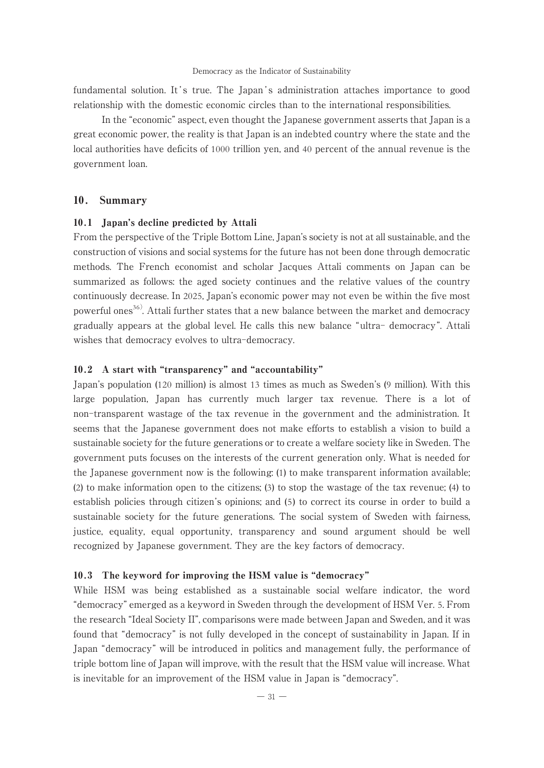fundamental solution. It's true. The Japan's administration attaches importance to good relationship with the domestic economic circles than to the international responsibilities.

In the "economic" aspect, even thought the Japanese government asserts that Japan is a great economic power, the reality is that Japan is an indebted country where the state and the local authorities have deficits of 1000 trillion yen, and 40 percent of the annual revenue is the government loan.

### 10. Summary

### 10.1 Japan's decline predicted by Attali

From the perspective of the Triple Bottom Line, Japan's society is not at all sustainable, and the construction of visions and social systems for the future has not been done through democratic methods. The French economist and scholar Jacques Attali comments on Japan can be summarized as follows: the aged society continues and the relative values of the country continuously decrease. In 2025, Japan's economic power may not even be within the five most powerful ones<sup>36)</sup>. Attali further states that a new balance between the market and democracy gradually appears at the global level. He calls this new balance "ultra- democracy ". Attali wishes that democracy evolves to ultra-democracy.

### 10.2 A start with "transparency" and "accountability"

Japan's population (120 million) is almost 13 times as much as Sweden's (9 million). With this large population, Japan has currently much larger tax revenue. There is a lot of non-transparent wastage of the tax revenue in the government and the administration. It seems that the Japanese government does not make efforts to establish a vision to build a sustainable society for the future generations or to create a welfare society like in Sweden. The government puts focuses on the interests of the current generation only. What is needed for the Japanese government now is the following: (1) to make transparent information available; (2) to make information open to the citizens; (3) to stop the wastage of the tax revenue; (4) to establish policies through citizen's opinions; and (5) to correct its course in order to build a sustainable society for the future generations. The social system of Sweden with fairness, justice, equality, equal opportunity, transparency and sound argument should be well recognized by Japanese government. They are the key factors of democracy.

#### 10.3 The keyword for improving the HSM value is "democracy"

While HSM was being established as a sustainable social welfare indicator, the word "democracy" emerged as a keyword in Sweden through the development of HSM Ver. 5. From the research "Ideal Society II", comparisons were made between Japan and Sweden, and it was found that "democracy" is not fully developed in the concept of sustainability in Japan. If in Japan "democracy" will be introduced in politics and management fully, the performance of triple bottom line of Japan will improve, with the result that the HSM value will increase. What is inevitable for an improvement of the HSM value in Japan is "democracy".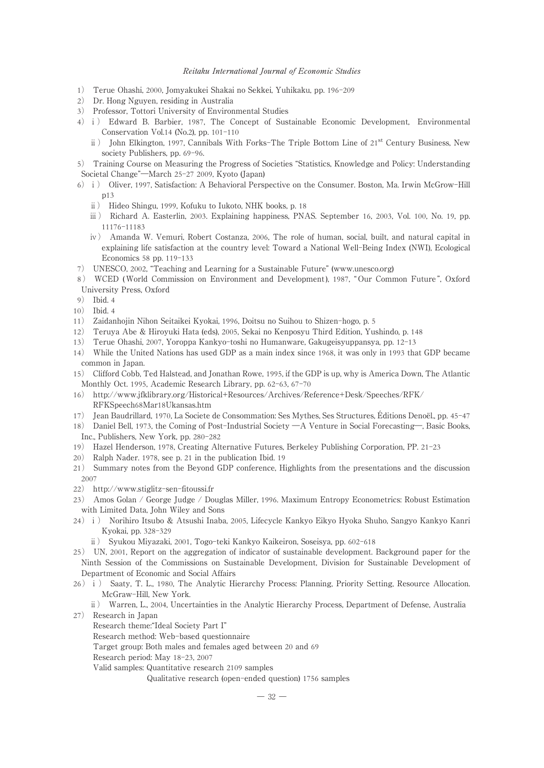- 1) Terue Ohashi, 2000, Jomyakukei Shakai no Sekkei, Yuhikaku, pp. 196-209
- 2) Dr. Hong Nguyen, residing in Australia
- 3) Professor, Tottori University of Environmental Studies
- 4)ⅰ) Edward B. Barbier, 1987, The Concept of Sustainable Economic Development, Environmental Conservation Vol.14 (No.2), pp. 101-110
	- ii) John Elkington, 1997, Cannibals With Forks-The Triple Bottom Line of 21<sup>st</sup> Century Business, New society Publishers, pp. 69-96.
- 5) Training Course on Measuring the Progress of Societies "Statistics, Knowledge and Policy: Understanding Societal Change"―March 25-27 2009, Kyoto (Japan)
- 6)ⅰ) Oliver, 1997, Satisfaction: A Behavioral Perspective on the Consumer. Boston, Ma. Irwin McGrow-Hill p13
	- ⅱ) Hideo Shingu, 1999, Kofuku to Iukoto, NHK books, p. 18
	- ⅲ) Richard A. Easterlin, 2003. Explaining happiness, PNAS. September 16, 2003, Vol. 100, No. 19, pp. 11176-11183
	- ⅳ) Amanda W. Vemuri, Robert Costanza, 2006, The role of human, social, built, and natural capital in explaining life satisfaction at the country level: Toward a National Well-Being Index (NWI), Ecological Economics 58 pp. 119-133
- 7) UNESCO, 2002, "Teaching and Learning for a Sustainable Future" (www.unesco.org)
- 8) WCED (World Commission on Environment and Development), 1987, "Our Common Future", Oxford University Press, Oxford
- 9) Ibid. 4
- 10) Ibid. 4
- 11) Zaidanhojin Nihon Seitaikei Kyokai, 1996, Doitsu no Suihou to Shizen-hogo, p. 5
- 12) Teruya Abe & Hiroyuki Hata (eds), 2005, Sekai no Kenposyu Third Edition, Yushindo, p. 148
- 13) Terue Ohashi, 2007, Yoroppa Kankyo-toshi no Humanware, Gakugeisyuppansya, pp. 12-13
- 14) While the United Nations has used GDP as a main index since 1968, it was only in 1993 that GDP became common in Japan.
- 15) Clifford Cobb, Ted Halstead, and Jonathan Rowe, 1995, if the GDP is up, why is America Down, The Atlantic Monthly Oct. 1995, Academic Research Library, pp. 62-63, 67-70
- 16) http://www.jfklibrary.org/Historical+Resources/Archives/Reference+Desk/Speeches/RFK/ RFKSpeech68Mar18Ukansas.htm
- 17) Jean Baudrillard, 1970, La Societe de Consommation: Ses Mythes, Ses Structures, Éditions Denoël., pp. 45-47
- 18) Daniel Bell, 1973, the Coming of Post-Industrial Society ―A Venture in Social Forecasting―, Basic Books, Inc., Publishers, New York, pp. 280-282
- 19) Hazel Henderson, 1978, Creating Alternative Futures, Berkeley Publishing Corporation, PP. 21-23
- 20) Ralph Nader. 1978, see p. 21 in the publication Ibid. 19
- 21) Summary notes from the Beyond GDP conference, Highlights from the presentations and the discussion 2007
- 22) http://www.stiglitz-sen-fitoussi.fr
- 23) Amos Golan / George Judge / Douglas Miller, 1996. Maximum Entropy Econometrics: Robust Estimation with Limited Data, John Wiley and Sons
- 24)ⅰ) Norihiro Itsubo & Atsushi Inaba, 2005, Lifecycle Kankyo Eikyo Hyoka Shuho, Sangyo Kankyo Kanri Kyokai, pp. 328-329
	- ⅱ) Syukou Miyazaki, 2001, Togo-teki Kankyo Kaikeiron, Soseisya, pp. 602-618
- 25) UN, 2001, Report on the aggregation of indicator of sustainable development. Background paper for the Ninth Session of the Commissions on Sustainable Development, Division for Sustainable Development of Department of Economic and Social Affairs
- 26)i) Saaty, T. L., 1980, The Analytic Hierarchy Process: Planning, Priority Setting, Resource Allocation. McGraw-Hill, New York.
- ⅱ) Warren, L., 2004, Uncertainties in the Analytic Hierarchy Process, Department of Defense, Australia 27) Research in Japan
	- Research theme:"Ideal Society Part I"

Research method: Web-based questionnaire

- Target group: Both males and females aged between 20 and 69
- Research period: May 18-23, 2007

Valid samples: Quantitative research 2109 samples

Qualitative research (open-ended question) 1756 samples